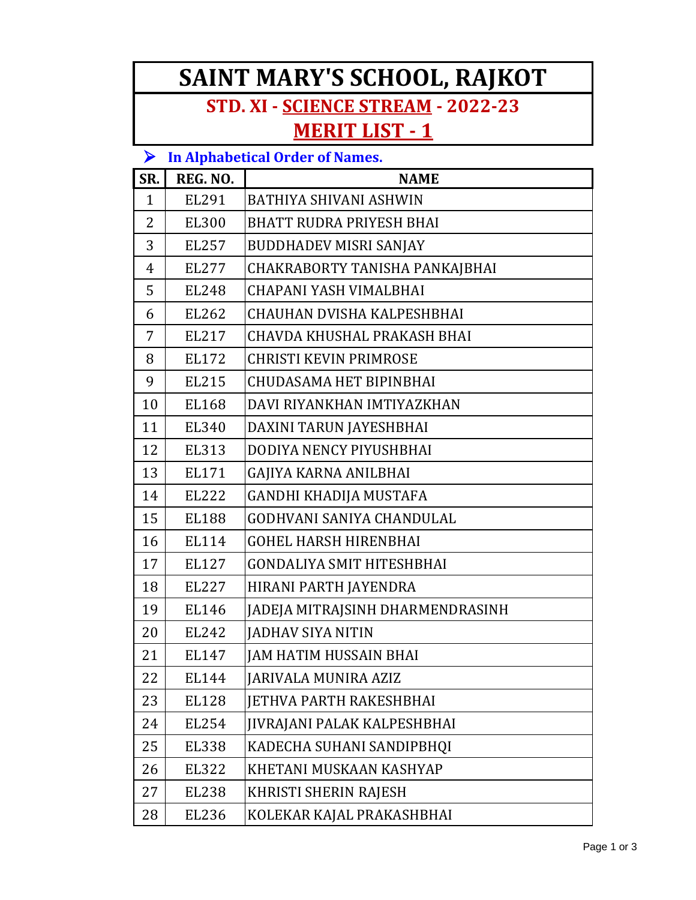## **SAINT MARY'S SCHOOL, RAJKOT**

## **STD. XI - SCIENCE STREAM - 2022-23 MERIT LIST - 1**

#### **In Alphabetical Order of Names.**

| SR.            | REG. NO.     | <b>NAME</b>                      |
|----------------|--------------|----------------------------------|
| $\mathbf{1}$   | EL291        | <b>BATHIYA SHIVANI ASHWIN</b>    |
| 2              | <b>EL300</b> | <b>BHATT RUDRA PRIYESH BHAI</b>  |
| 3              | EL257        | <b>BUDDHADEV MISRI SANJAY</b>    |
| $\overline{4}$ | EL277        | CHAKRABORTY TANISHA PANKAJBHAI   |
| 5              | <b>EL248</b> | CHAPANI YASH VIMALBHAI           |
| 6              | EL262        | CHAUHAN DVISHA KALPESHBHAI       |
| 7              | EL217        | CHAVDA KHUSHAL PRAKASH BHAI      |
| 8              | EL172        | <b>CHRISTI KEVIN PRIMROSE</b>    |
| 9              | <b>EL215</b> | <b>CHUDASAMA HET BIPINBHAI</b>   |
| 10             | <b>EL168</b> | DAVI RIYANKHAN IMTIYAZKHAN       |
| 11             | EL340        | DAXINI TARUN JAYESHBHAI          |
| 12             | EL313        | DODIYA NENCY PIYUSHBHAI          |
| 13             | EL171        | GAJIYA KARNA ANILBHAI            |
| 14             | <b>EL222</b> | GANDHI KHADIJA MUSTAFA           |
| 15             | <b>EL188</b> | <b>GODHVANI SANIYA CHANDULAL</b> |
| 16             | EL114        | <b>GOHEL HARSH HIRENBHAI</b>     |
| 17             | <b>EL127</b> | <b>GONDALIYA SMIT HITESHBHAI</b> |
| 18             | EL227        | HIRANI PARTH JAYENDRA            |
| 19             | EL146        | JADEJA MITRAJSINH DHARMENDRASINH |
| 20             | EL242        | <b>JADHAV SIYA NITIN</b>         |
| 21             | EL147        | JAM HATIM HUSSAIN BHAI           |
| 22             | <b>EL144</b> | <b>JARIVALA MUNIRA AZIZ</b>      |
| 23             | <b>EL128</b> | <b>JETHVA PARTH RAKESHBHAI</b>   |
| 24             | EL254        | JIVRAJANI PALAK KALPESHBHAI      |
| 25             | <b>EL338</b> | KADECHA SUHANI SANDIPBHQI        |
| 26             | <b>EL322</b> | KHETANI MUSKAAN KASHYAP          |
| 27             | <b>EL238</b> | KHRISTI SHERIN RAJESH            |
| 28             | EL236        | KOLEKAR KAJAL PRAKASHBHAI        |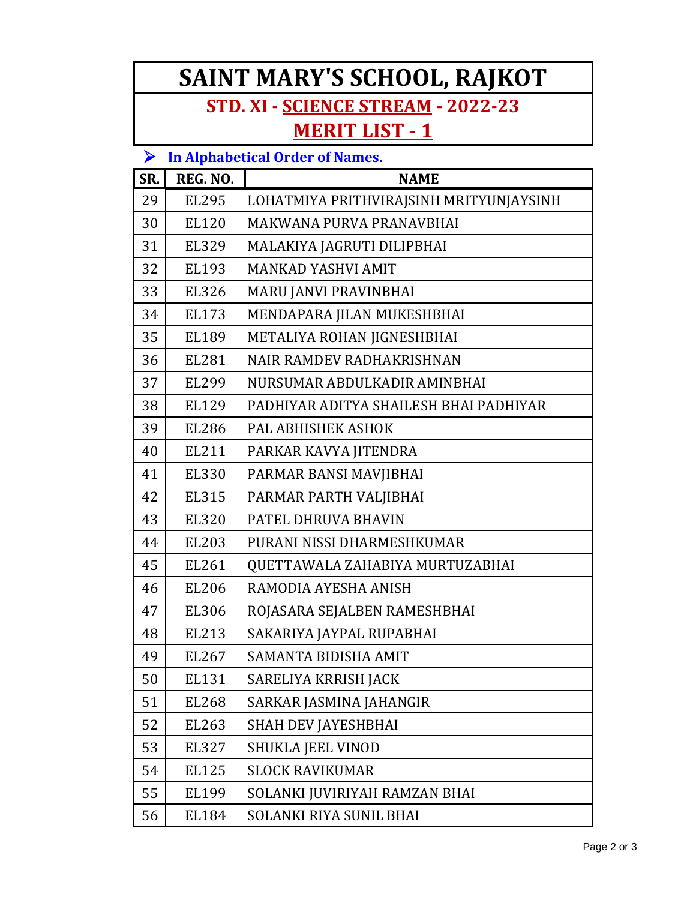# **SAINT MARY'S SCHOOL, RAJKOT**

## **STD. XI - SCIENCE STREAM - 2022-23 MERIT LIST - 1**

#### **In Alphabetical Order of Names.**

| SR. | REG. NO.     | <b>NAME</b>                             |
|-----|--------------|-----------------------------------------|
| 29  | <b>EL295</b> | LOHATMIYA PRITHVIRAJSINH MRITYUNJAYSINH |
| 30  | EL120        | MAKWANA PURVA PRANAVBHAI                |
| 31  | EL329        | MALAKIYA JAGRUTI DILIPBHAI              |
| 32  | EL193        | <b>MANKAD YASHVI AMIT</b>               |
| 33  | <b>EL326</b> | MARU JANVI PRAVINBHAI                   |
| 34  | EL173        | MENDAPARA JILAN MUKESHBHAI              |
| 35  | EL189        | METALIYA ROHAN JIGNESHBHAI              |
| 36  | <b>EL281</b> | <b>NAIR RAMDEV RADHAKRISHNAN</b>        |
| 37  | <b>EL299</b> | NURSUMAR ABDULKADIR AMINBHAI            |
| 38  | EL129        | PADHIYAR ADITYA SHAILESH BHAI PADHIYAR  |
| 39  | <b>EL286</b> | PAL ABHISHEK ASHOK                      |
| 40  | EL211        | PARKAR KAVYA JITENDRA                   |
| 41  | EL330        | PARMAR BANSI MAVJIBHAI                  |
| 42  | <b>EL315</b> | PARMAR PARTH VALJIBHAI                  |
| 43  | <b>EL320</b> | PATEL DHRUVA BHAVIN                     |
| 44  | EL203        | PURANI NISSI DHARMESHKUMAR              |
| 45  | EL261        | QUETTAWALA ZAHABIYA MURTUZABHAI         |
| 46  | <b>EL206</b> | RAMODIA AYESHA ANISH                    |
| 47  | EL306        | ROJASARA SEJALBEN RAMESHBHAI            |
| 48  | EL213        | SAKARIYA JAYPAL RUPABHAI                |
| 49  | EL267        | SAMANTA BIDISHA AMIT                    |
| 50  | <b>EL131</b> | SARELIYA KRRISH JACK                    |
| 51  | EL268        | SARKAR JASMINA JAHANGIR                 |
| 52  | EL263        | <b>SHAH DEV JAYESHBHAI</b>              |
| 53  | EL327        | <b>SHUKLA JEEL VINOD</b>                |
| 54  | <b>EL125</b> | <b>SLOCK RAVIKUMAR</b>                  |
| 55  | EL199        | SOLANKI JUVIRIYAH RAMZAN BHAI           |
| 56  | EL184        | <b>SOLANKI RIYA SUNIL BHAI</b>          |